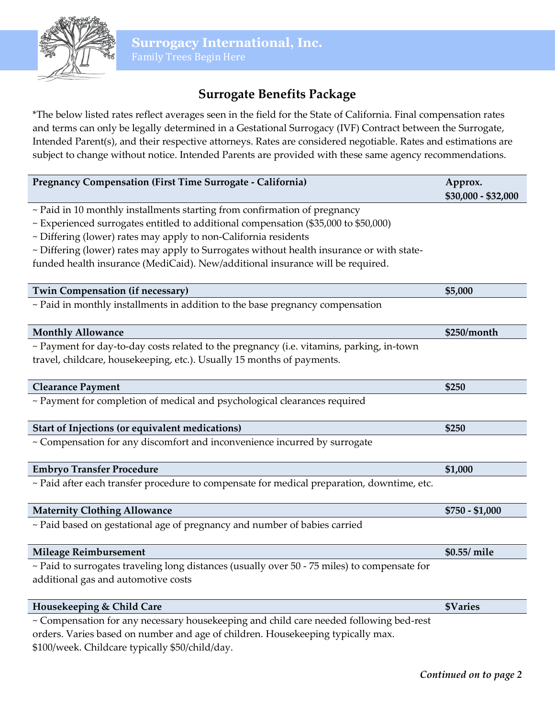

# **Surrogate Benefits Package**

\*The below listed rates reflect averages seen in the field for the State of California. Final compensation rates and terms can only be legally determined in a Gestational Surrogacy (IVF) Contract between the Surrogate, Intended Parent(s), and their respective attorneys. Rates are considered negotiable. Rates and estimations are subject to change without notice. Intended Parents are provided with these same agency recommendations.

| Pregnancy Compensation (First Time Surrogate - California)                                   | Approx.<br>\$30,000 - \$32,000 |
|----------------------------------------------------------------------------------------------|--------------------------------|
| ~ Paid in 10 monthly installments starting from confirmation of pregnancy                    |                                |
| ~ Experienced surrogates entitled to additional compensation (\$35,000 to \$50,000)          |                                |
| ~ Differing (lower) rates may apply to non-California residents                              |                                |
| ~ Differing (lower) rates may apply to Surrogates without health insurance or with state-    |                                |
| funded health insurance (MediCaid). New/additional insurance will be required.               |                                |
|                                                                                              |                                |
| <b>Twin Compensation (if necessary)</b>                                                      | \$5,000                        |
| ~ Paid in monthly installments in addition to the base pregnancy compensation                |                                |
| <b>Monthly Allowance</b>                                                                     | \$250/month                    |
| ~ Payment for day-to-day costs related to the pregnancy (i.e. vitamins, parking, in-town     |                                |
| travel, childcare, housekeeping, etc.). Usually 15 months of payments.                       |                                |
|                                                                                              |                                |
| <b>Clearance Payment</b>                                                                     | \$250                          |
| ~ Payment for completion of medical and psychological clearances required                    |                                |
| Start of Injections (or equivalent medications)                                              | \$250                          |
| ~ Compensation for any discomfort and inconvenience incurred by surrogate                    |                                |
| <b>Embryo Transfer Procedure</b>                                                             | \$1,000                        |
| ~ Paid after each transfer procedure to compensate for medical preparation, downtime, etc.   |                                |
| <b>Maternity Clothing Allowance</b>                                                          | $$750 - $1,000$                |
| ~ Paid based on gestational age of pregnancy and number of babies carried                    |                                |
| <b>Mileage Reimbursement</b>                                                                 | \$0.55/ mile                   |
| ~ Paid to surrogates traveling long distances (usually over 50 - 75 miles) to compensate for |                                |
| additional gas and automotive costs                                                          |                                |
| Housekeeping & Child Care                                                                    | <b>\$Varies</b>                |
| ~ Compensation for any necessary housekeeping and child care needed following bed-rest       |                                |
| orders. Varies based on number and age of children. Housekeeping typically max.              |                                |

\$100/week. Childcare typically \$50/child/day.